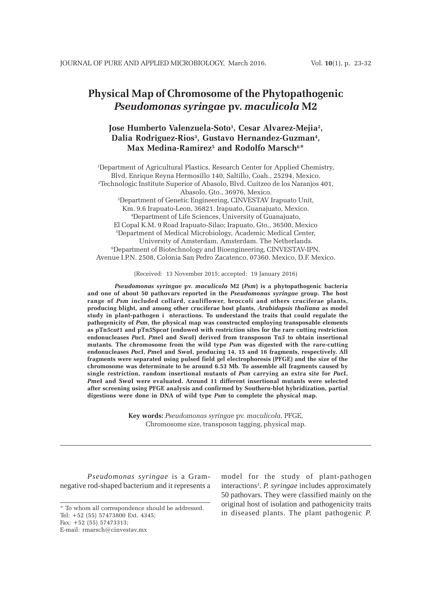# **Physical Map of Chromosome of the Phytopathogenic** *Pseudomonas syringae* **pv.** *maculicola* **M2**

# Jose Humberto Valenzuela-Soto<sup>1</sup>, Cesar Alvarez-Mejia<sup>2</sup>, Dalia Rodriguez-Rios<sup>3</sup>, Gustavo Hernandez-Guzman<del>ª</del>, **Max Medina-Ramirez5 and Rodolfo Marsch6 \***

1 Department of Agricultural Plastics, Research Center for Applied Chemistry, Blvd. Enrique Reyna Hermosillo 140, Saltillo, Coah., 25294, Mexico. 2 Technologic Institute Superior of Abasolo, Blvd. Cuitzeo de los Naranjos 401, Abasolo, Gto., 36976, Mexico. 3 Department of Genetic Engineering, CINVESTAV Irapuato Unit, Km. 9.6 Irapuato-Leon, 36821. Irapuato, Guanajuato, Mexico. 4 Department of Life Sciences, University of Guanajuato, El Copal K.M. 9 Road Irapuato-Silao; Irapuato, Gto., 36500, Mexico 5 Department of Medical Microbiology, Academic Medical Center, University of Amsterdam, Amsterdam. The Netherlands. 6 Department of Biotechnology and Bioengineering, CINVESTAV-IPN. Avenue I.P.N. 2508, Colonia San Pedro Zacatenco, 07360. Mexico, D.F. Mexico.

(Received: 13 November 2015; accepted: 19 January 2016)

*Pseudomonas syringae* **pv.** *maculicola* **M2 (***Psm***) is a phytopathogenic bacteria and one of about 50 pathovars reported in the** *Pseudomonas syringae* **group. The host range of** *Psm* **included collard, cauliflower, broccoli and others cruciferae plants, producing blight, and among other cruciferae host plants,** *Arabidopsis thaliana* **as model study in plant-pathogen i nteractions. To understand the traits that could regulate the pathogenicity of** *Psm***, the physical map was constructed employing transposable elements as pTn***5cat***1 and pTn***5***Sp***cat* **(endowed with restriction sites for the rare cutting restriction endonucleases** *Pac***I,** *Pme***I and** *Swa***I) derived from transposon Tn***5* **to obtain insertional mutants***.* **The chromosome from the wild type** *Psm* **was digested with the rare-cutting endonucleases** *Pac***I,** *Pme***I and** *Swa***I, producing 14, 15 and 16 fragments, respectively. All fragments were separated using pulsed field gel electrophoresis (PFGE) and the size of the chromosome was determinate to be around 6.53 Mb. To assemble all fragments caused by single restriction, random insertional mutants of** *Psm* **carrying an extra site for** *Pac***I,** *Pme***I and** *Swa***I were evaluated. Around 11 different insertional mutants were selected after screening using PFGE analysis and confirmed by Southern-blot hybridization, partial digestions were done in DNA of wild type** *Psm* **to complete the physical map.**

> **Key words:** *Pseudomonas syringae* pv. *maculicola*, PFGE, Chromosome size, transposon tagging, physical map.

*Pseudomonas syringae* is a Gramnegative rod-shaped bacterium and it represents a model for the study of plant-pathogen interactions<sup>1</sup>. *P. syringae* includes approximately 50 pathovars. They were classified mainly on the original host of isolation and pathogenicity traits in diseased plants. The plant pathogenic *P.*

<sup>\*</sup> To whom all correspondence should be addressed. Tel: +52 (55) 57473800 Ext. 4345; Fax: +52 (55) 57473313;

E-mail: rmarsch@cinvestav.mx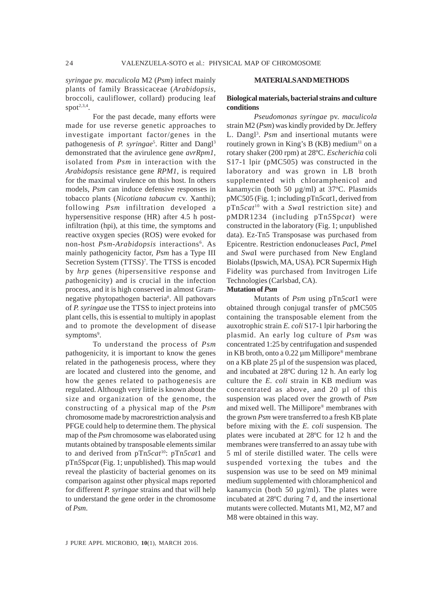*syringae* pv. *maculicola* M2 (*Psm*) infect mainly plants of family Brassicaceae (*Arabidopsis*, broccoli, cauliflower, collard) producing leaf spot $2,3,4$ .

For the past decade, many efforts were made for use reverse genetic approaches to investigate important factor/genes in the pathogenesis of *P. syringae*<sup>5</sup>. Ritter and Dangl<sup>3</sup> demonstrated that the avirulence gene *avrRpm1,* isolated from *Psm* in interaction with the *Arabidopsis* resistance gene *RPM1*, is required for the maximal virulence on this host. In others models, *Psm* can induce defensive responses in tobacco plants (*Nicotiana tabacum* cv. Xanthi); following *Psm* infiltration developed a hypersensitive response (HR) after 4.5 h postinfiltration (hpi), at this time, the symptoms and reactive oxygen species (ROS) were evoked for non-host *Psm-Arabidopsis* interactions<sup>6</sup>. As mainly pathogenicity factor, *Psm* has a Type III Secretion System (TTSS)<sup>7</sup>. The TTSS is encoded by *hrp* genes (*h*ipersensitive *r*esponse and *p*athogenicity) and is crucial in the infection process, and it is high conserved in almost Gramnegative phytopathogen bacteria<sup>8</sup>. All pathovars of *P. syringae* use the TTSS to inject proteins into plant cells, this is essential to multiply in apoplast and to promote the development of disease symptoms<sup>9</sup>.

To understand the process of *Psm* pathogenicity, it is important to know the genes related in the pathogenesis process, where they are located and clustered into the genome, and how the genes related to pathogenesis are regulated. Although very little is known about the size and organization of the genome, the constructing of a physical map of the *Psm* chromosome made by macrorestriction analysis and PFGE could help to determine them. The physical map of the *Psm* chromosome was elaborated using mutants obtained by transposable elements similar to and derived from pTn*5cat*10: pTn*5cat*1 and pTn*5*Sp*cat* (Fig. 1; unpublished)*.* This map would reveal the plasticity of bacterial genomes on its comparison against other physical maps reported for different *P. syringae* strains and that will help to understand the gene order in the chromosome of *Psm*.

#### **MATERIALS AND METHODS**

# **Biological materials, bacterial strains and culture conditions**

*Pseudomonas syringae* pv. *maculicola* strain M2 (*Psm*) was kindly provided by Dr. Jeffery L. Dangl<sup>3</sup>. Psm and insertional mutants were routinely grown in King's B  $(KB)$  medium<sup>11</sup> on a rotary shaker (200 rpm) at 28ºC. *Escherichia* coli S17-1 lpir (pMC505) was constructed in the laboratory and was grown in LB broth supplemented with chloramphenicol and kanamycin (both 50 µg/ml) at 37ºC. Plasmids pMC505 (Fig. 1; including pTn*5cat*1, derived from pTn*5cat*10 with a *Swa*I restriction site) and pMDR1234 (including pTn*5*Sp*cat*) were constructed in the laboratory (Fig. 1; unpublished data). Ez-Tn5 Transposase was purchased from Epicentre. Restriction endonucleases *Pac*I, *Pme*I and *Swa*I were purchased from New England Biolabs (Ipswich, MA, USA). PCR Supermix High Fidelity was purchased from Invitrogen Life Technologies (Carlsbad, CA).

# **Mutation of** *Psm*

Mutants of *Psm* using pTn*5cat*1 were obtained through conjugal transfer of pMC505 containing the transposable element from the auxotrophic strain *E. coli* S17-1 lpir harboring the plasmid. An early log culture of *Psm* was concentrated 1:25 by centrifugation and suspended in KB broth, onto a 0.22 µm Millipore® membrane on a KB plate 25 µl of the suspension was placed, and incubated at 28ºC during 12 h. An early log culture the *E. coli* strain in KB medium was concentrated as above, and 20 µl of this suspension was placed over the growth of *Psm* and mixed well. The Millipore® membranes with the grown *Psm* were transferred to a fresh KB plate before mixing with the *E. coli* suspension. The plates were incubated at 28ºC for 12 h and the membranes were transferred to an assay tube with 5 ml of sterile distilled water. The cells were suspended vortexing the tubes and the suspension was use to be seed on M9 minimal medium supplemented with chloramphenicol and kanamycin (both 50  $\mu$ g/ml). The plates were incubated at 28ºC during 7 d, and the insertional mutants were collected. Mutants M1, M2, M7 and M8 were obtained in this way.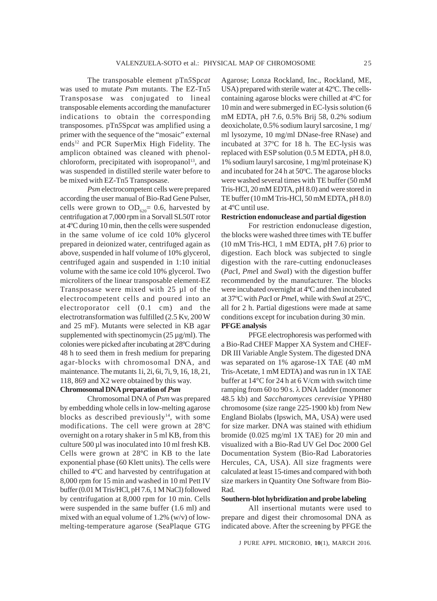The transposable element pTn*5*Sp*cat* was used to mutate *Psm* mutants. The EZ-Tn5 Transposase was conjugated to lineal transposable elements according the manufacturer indications to obtain the corresponding transposomes. pTn*5*Sp*cat* was amplified using a primer with the sequence of the "mosaic" external ends<sup>12</sup> and PCR SuperMix High Fidelity. The amplicon obtained was cleaned with phenolchloroform, precipitated with isopropanol<sup>13</sup>, and was suspended in distilled sterile water before to be mixed with EZ-Tn5 Transposase.

*Psm* electrocompetent cells were prepared according the user manual of Bio-Rad Gene Pulser, cells were grown to  $OD_{620} = 0.6$ , harvested by centrifugation at 7,000 rpm in a Sorvall SL50T rotor at 4ºC during 10 min, then the cells were suspended in the same volume of ice cold 10% glycerol prepared in deionized water, centrifuged again as above, suspended in half volume of 10% glycerol, centrifuged again and suspended in 1:10 initial volume with the same ice cold 10% glycerol. Two microliters of the linear transposable element-EZ Transposase were mixed with 25 µl of the electrocompetent cells and poured into an electroporator cell (0.1 cm) and the electrotransformation was fulfilled (2.5 Kv, 200 W and 25 mF). Mutants were selected in KB agar supplemented with spectinomycin (25 µg/ml). The colonies were picked after incubating at 28ºC during 48 h to seed them in fresh medium for preparing agar-blocks with chromosomal DNA, and maintenance. The mutants 1i, 2i, 6i, 7i, 9, 16, 18, 21, 118, 869 and X2 were obtained by this way.

# **Chromosomal DNA preparation of** *Psm*

Chromosomal DNA of *Psm* was prepared by embedding whole cells in low-melting agarose blocks as described previously<sup>14</sup>, with some modifications. The cell were grown at 28ºC overnight on a rotary shaker in 5 ml KB, from this culture 500 µl was inoculated into 10 ml fresh KB. Cells were grown at 28ºC in KB to the late exponential phase (60 Klett units). The cells were chilled to 4ºC and harvested by centrifugation at 8,000 rpm for 15 min and washed in 10 ml Pett IV buffer (0.01 M Tris/HCl, pH 7.6, 1 M NaCl) followed by centrifugation at 8,000 rpm for 10 min. Cells were suspended in the same buffer (1.6 ml) and mixed with an equal volume of 1.2% (w/v) of lowmelting-temperature agarose (SeaPlaque GTG Agarose; Lonza Rockland, Inc., Rockland, ME, USA) prepared with sterile water at 42ºC. The cellscontaining agarose blocks were chilled at 4ºC for 10 min and were submerged in EC-lysis solution (6 mM EDTA, pH 7.6, 0.5% Brij 58, 0.2% sodium deoxicholate, 0.5% sodium lauryl sarcosine, 1 mg/ ml lysozyme, 10 mg/ml DNase-free RNase) and incubated at 37ºC for 18 h. The EC-lysis was replaced with ESP solution (0.5 M EDTA, pH 8.0, 1% sodium lauryl sarcosine, 1 mg/ml proteinase K) and incubated for 24 h at 50ºC. The agarose blocks were washed several times with TE buffer (50 mM Tris-HCl, 20 mM EDTA, pH 8.0) and were stored in TE buffer (10 mM Tris-HCl, 50 mM EDTA, pH 8.0) at 4ºC until use.

### **Restriction endonuclease and partial digestion**

For restriction endonuclease digestion, the blocks were washed three times with TE buffer (10 mM Tris-HCl, 1 mM EDTA, pH 7.6) prior to digestion. Each block was subjected to single digestion with the rare-cutting endonucleases (*Pac*I, *Pme*I and *Swa*I) with the digestion buffer recommended by the manufacturer. The blocks were incubated overnight at 4ºC and then incubated at 37ºC with *Pac*I or *Pme*I, while with *Swa*I at 25ºC, all for 2 h. Partial digestions were made at same conditions except for incubation during 30 min. **PFGE analysis**

PFGE electrophoresis was performed with a Bio-Rad CHEF Mapper XA System and CHEF-DR III Variable Angle System. The digested DNA was separated on 1% agarose-1X TAE (40 mM Tris-Acetate, 1 mM EDTA) and was run in 1X TAE buffer at 14°C for 24 h at 6 V/cm with switch time ramping from 60 to 90 s. λ DNA ladder (monomer 48.5 kb) and *Saccharomyces cerevisiae* YPH80 chromosome (size range 225-1900 kb) from New England Biolabs (Ipswich, MA, USA) were used for size marker. DNA was stained with ethidium bromide (0.025 mg/ml 1X TAE) for 20 min and visualized with a Bio-Rad UV Gel Doc 2000 Gel Documentation System (Bio-Rad Laboratories Hercules, CA, USA). All size fragments were calculated at least 15-times and compared with both size markers in Quantity One Software from Bio-Rad.

#### **Southern-blot hybridization and probe labeling**

All insertional mutants were used to prepare and digest their chromosomal DNA as indicated above. After the screening by PFGE the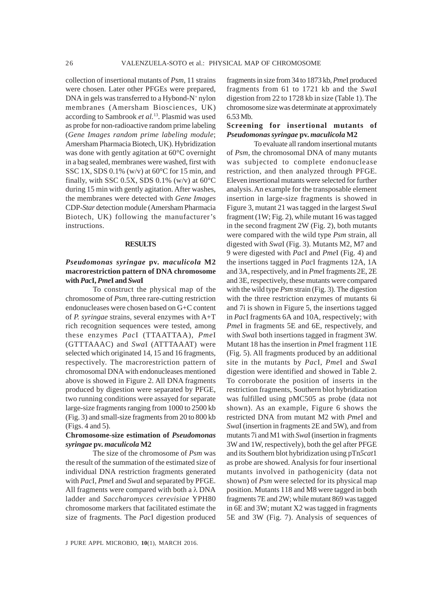collection of insertional mutants of *Psm*, 11 strains were chosen. Later other PFGEs were prepared, DNA in gels was transferred to a Hybond-N+ nylon membranes (Amersham Biosciences, UK) according to Sambrook *et al.*13. Plasmid was used as probe for non-radioactive random prime labeling (*Gene Images random prime labeling module*; Amersham Pharmacia Biotech, UK). Hybridization was done with gently agitation at 60°C overnight in a bag sealed, membranes were washed, first with SSC 1X, SDS 0.1% (w/v) at 60°C for 15 min, and finally, with SSC 0.5X, SDS 0.1% (w/v) at  $60^{\circ}$ C during 15 min with gently agitation. After washes, the membranes were detected with *Gene Images* CDP-*Star* detection module (Amersham Pharmacia Biotech, UK) following the manufacturer's instructions.

#### **RESULTS**

# *Pseudomonas syringae* **pv.** *maculicola* **M2 macrorestriction pattern of DNA chromosome with** *Pac***I,** *Pme***I and** *Swa***I**

To construct the physical map of the chromosome of *Psm*, three rare-cutting restriction endonucleases were chosen based on G+C content of *P. syringae* strains, several enzymes with A+T rich recognition sequences were tested, among these enzymes *Pac*I (TTAATTAA), *Pme*I (GTTTAAAC) and *Swa*I (ATTTAAAT) were selected which originated 14, 15 and 16 fragments, respectively. The macrorestriction pattern of chromosomal DNA with endonucleases mentioned above is showed in Figure 2. All DNA fragments produced by digestion were separated by PFGE, two running conditions were assayed for separate large-size fragments ranging from 1000 to 2500 kb (Fig. 3) and small-size fragments from 20 to 800 kb (Figs. 4 and 5).

# **Chromosome-size estimation of** *Pseudomonas syringae* **pv.** *maculicola* **M2**

The size of the chromosome of *Psm* was the result of the summation of the estimated size of individual DNA restriction fragments generated with *Pac*I, *Pme*I and *Swa*I and separated by PFGE. All fragments were compared with both a  $\lambda$  DNA ladder and *Saccharomyces cerevisiae* YPH80 chromosome markers that facilitated estimate the size of fragments. The *Pac*I digestion produced

J PURE APPL MICROBIO*,* **10**(1), MARCH 2016.

fragments in size from 34 to 1873 kb, *Pme*I produced fragments from 61 to 1721 kb and the *Swa*I digestion from 22 to 1728 kb in size (Table 1). The chromosome size was determinate at approximately 6.53 Mb.

# **Screening for insertional mutants of** *Pseudomonas syringae* **pv.** *maculicola* **M2**

To evaluate all randominsertional mutants of *Psm*, the chromosomal DNA of many mutants was subjected to complete endonuclease restriction, and then analyzed through PFGE. Eleven insertional mutants were selected for further analysis. An example for the transposable element insertion in large-size fragments is showed in Figure 3, mutant 21 was tagged in the largest *Swa*I fragment (1W; Fig. 2), while mutant 16 was tagged in the second fragment 2W (Fig. 2), both mutants were compared with the wild type *Psm* strain, all digested with *Swa*I (Fig. 3). Mutants M2, M7 and 9 were digested with *Pac*I and *Pme*I (Fig. 4) and the insertions tagged in *Pac*I fragments 12A, 1A and 3A, respectively, and in *Pme*I fragments 2E, 2E and 3E, respectively, these mutants were compared with the wild type *Psm* strain (Fig. 3). The digestion with the three restriction enzymes of mutants 6i and 7i is shown in Figure 5, the insertions tagged in *Pac*I fragments 6A and 10A, respectively; with *Pme*I in fragments 5E and 6E, respectively, and with *Swa*I both insertions tagged in fragment 3W. Mutant 18 has the insertion in *Pme*I fragment 11E (Fig. 5). All fragments produced by an additional site in the mutants by *Pac*I, *Pme*I and *Swa*I digestion were identified and showed in Table 2. To corroborate the position of inserts in the restriction fragments, Southern blot hybridization was fulfilled using pMC505 as probe (data not shown). As an example, Figure 6 shows the restricted DNA from mutant M2 with *Pme*I and *Swa*I (insertion in fragments 2E and 5W), and from mutants 7i and M1 with *Swa*I (insertion in fragments 3W and 1W, respectively), both the gel after PFGE and its Southern blot hybridization using pTn*5cat*1 as probe are showed. Analysis for four insertional mutants involved in pathogenicity (data not shown) of *Psm* were selected for its physical map position. Mutants 118 and M8 were tagged in both fragments 7E and 2W; while mutant 869 was tagged in 6E and 3W; mutant X2 was tagged in fragments 5E and 3W (Fig. 7). Analysis of sequences of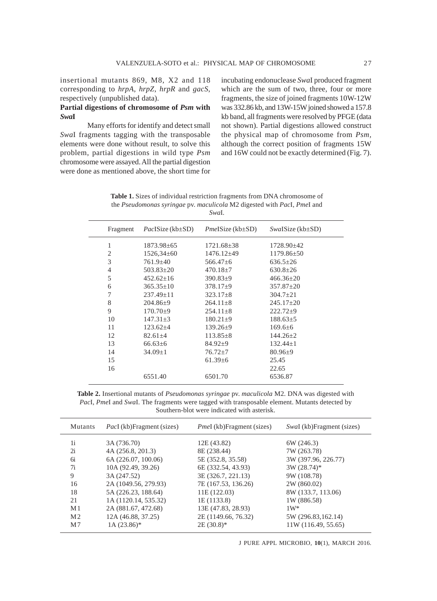insertional mutants 869, M8, X2 and 118 corresponding to *hrpA*, *hrpZ*, *hrpR* and *gacS*, respectively (unpublished data).

# **Partial digestions of chromosome of** *Psm* **with** *Swa***I**

Many efforts for identify and detect small *Swa*I fragments tagging with the transposable elements were done without result, to solve this problem, partial digestions in wild type *Psm* chromosome were assayed. All the partial digestion were done as mentioned above, the short time for

incubating endonuclease *Swa*I produced fragment which are the sum of two, three, four or more fragments, the size of joined fragments 10W-12W was 332.86 kb, and 13W-15W joined showed a 157.8 kb band, all fragments were resolved by PFGE (data not shown). Partial digestions allowed construct the physical map of chromosome from *Psm,* although the correct position of fragments 15W and 16W could not be exactly determined (Fig. 7).

| <b>Table 1.</b> Sizes of individual restriction fragments from DNA chromosome of                     |
|------------------------------------------------------------------------------------------------------|
| the <i>Pseudomonas syringae</i> pv. <i>maculicola</i> M2 digested with <i>PacI</i> , <i>PmeI</i> and |
| SwaL.                                                                                                |

| Fragment | $PacIsize$ (kb $\pm SD$ ) | <i>PmeISize</i> ( $kb\pm SD$ ) | $Swa$ ISize (kb $\pm$ SD) |
|----------|---------------------------|--------------------------------|---------------------------|
| 1        | $1873.98 \pm 65$          | $1721.68 + 38$                 | $1728.90\pm42$            |
| 2        | $1526,34\pm 60$           | $1476.12 + 49$                 | $1179.86 + 50$            |
| 3        | 761.9±40                  | $566.47\pm 6$                  | $636.5 \pm 26$            |
| 4        | $503.83 \pm 20$           | $470.18 \pm 7$                 | $630.8 \pm 26$            |
| 5        | $452.62 \pm 16$           | $390.83 \pm 9$                 | $466.36 \pm 20$           |
| 6        | $365.35 \pm 10$           | $378.17+9$                     | $357.87 + 20$             |
| 7        | $237.49 \pm 11$           | $323.17 \pm 8$                 | $304.7 \pm 21$            |
| 8        | $204.86+9$                | $264.11 + 8$                   | $245.17+20$               |
| 9        | $170.70 + 9$              | $254.11 + 8$                   | $222.72+9$                |
| 10       | $147.31 + 3$              | $180.21 \pm 9$                 | $188.63+5$                |
| 11       | $123.62 \pm 4$            | $139.26 \pm 9$                 | $169.6 \pm 6$             |
| 12       | $82.61 \pm 4$             | $113.85 \pm 8$                 | $144.26 + 2$              |
| 13       | $66.63\pm 6$              | $84.92 \pm 9$                  | $132.44+1$                |
| 14       | $34.09 \pm 1$             | $76.72 \pm 7$                  | $80.96 \pm 9$             |
| 15       |                           | $61.39\pm 6$                   | 25.45                     |
| 16       |                           |                                | 22.65                     |
|          | 6551.40                   | 6501.70                        | 6536.87                   |
|          |                           |                                |                           |

**Table 2.** Insertional mutants of *Pseudomonas syringae* pv. *maculicola* M2. DNA was digested with *Pac*I, *Pme*I and *Swa*I. The fragments were tagged with transposable element. Mutants detected by Southern-blot were indicated with asterisk.

| Mutants        | <i>PacI</i> (kb)Fragment (sizes) | <i>PmeI</i> (kb)Fragment (sizes) | Swal (kb)Fragment (sizes) |
|----------------|----------------------------------|----------------------------------|---------------------------|
| 1i             | 3A (736.70)                      | 12E (43.82)                      | 6W (246.3)                |
| 2i             | 4A (256.8, 201.3)                | 8E (238.44)                      | 7W (263.78)               |
| 6i             | 6A (226.07, 100.06)              | 5E (352.8, 35.58)                | 3W (397.96, 226.77)       |
| 7i             | 10A (92.49, 39.26)               | 6E (332.54, 43.93)               | $3W(28.74)$ *             |
| 9              | 3A (247.52)                      | 3E (326.7, 221.13)               | 9W (108.78)               |
| 16             | 2A (1049.56, 279.93)             | 7E (167.53, 136.26)              | 2W (860.02)               |
| 18             | 5A (226.23, 188.64)              | 11E (122.03)                     | 8W (133.7, 113.06)        |
| 21             | 1A (1120.14, 535.32)             | 1E (1133.8)                      | 1W (886.58)               |
| M <sub>1</sub> | 2A (881.67, 472.68)              | 13E (47.83, 28.93)               | $1W^*$                    |
| M <sub>2</sub> | 12A (46.88, 37.25)               | 2E (1149.66, 76.32)              | 5W (296.83,162.14)        |
| M7             | $1A(23.86)^*$                    | $2E(30.8)^*$                     | 11W (116.49, 55.65)       |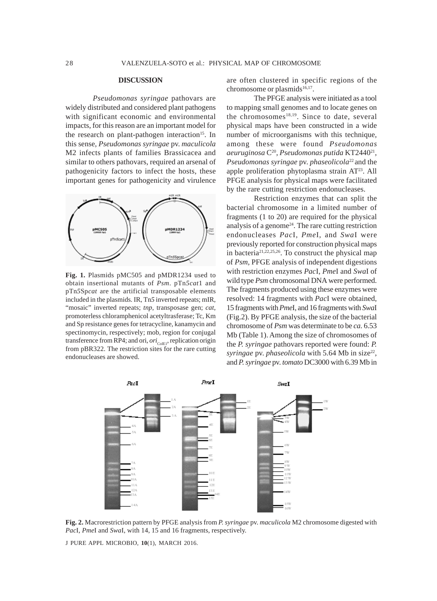#### **DISCUSSION**

*Pseudomonas syringae* pathovars are widely distributed and considered plant pathogens with significant economic and environmental impacts, for this reason are an important model for the research on plant-pathogen interaction<sup>15</sup>. In this sense, *Pseudomonas syringae* pv. *maculicola* M2 infects plants of families Brassicacea and similar to others pathovars, required an arsenal of pathogenicity factors to infect the hosts, these important genes for pathogenicity and virulence



**Fig. 1.** Plasmids pMC505 and pMDR1234 used to obtain insertional mutants of *Psm*. pTn*5cat*1 and pTn*5*Sp*cat* are the artificial transposable elements included in the plasmids. IR, Tn*5* inverted repeats; mIR, "mosaic" inverted repeats; *tnp*, transposase gen; *cat*, promoterless chloramphenicol acetyltrasferase; Tc, Km and Sp resistance genes for tetracycline, kanamycin and spectinomycin, respectively; mob, region for conjugal transference from RP4; and ori, *ori*<sub>ColE1</sub>, replication origin from pBR322. The restriction sites for the rare cutting endonucleases are showed.

are often clustered in specific regions of the chromosome or plasmids<sup>16,17</sup>.

The PFGE analysis were initiated as a tool to mapping small genomes and to locate genes on the chromosomes<sup>18,19</sup>. Since to date, several physical maps have been constructed in a wide number of microorganisms with this technique, among these were found *Pseudomonas aeuruginosa* C20, *Pseudomonas putida* KT244021, *Pseudomonas syringae* pv. *phaseolicola*22 and the apple proliferation phytoplasma strain AT<sup>23</sup>. All PFGE analysis for physical maps were facilitated by the rare cutting restriction endonucleases.

Restriction enzymes that can split the bacterial chromosome in a limited number of fragments (1 to 20) are required for the physical analysis of a genome $24$ . The rare cutting restriction endonucleases *Pac*I, *Pme*I, and *Swa*I were previously reported for construction physical maps in bacteria21,22,25,26. To construct the physical map of *Psm*, PFGE analysis of independent digestions with restriction enzymes *Pac*I, *Pme*I and *Swa*I of wild type *Psm* chromosomal DNA were performed. The fragments produced using these enzymes were resolved: 14 fragments with *Pac*I were obtained, 15 fragments with *Pme*I, and 16 fragments with *Swa*I (Fig.2). By PFGE analysis, the size of the bacterial chromosome of *Psm* was determinate to be *ca.* 6.53 Mb (Table 1). Among the size of chromosomes of the *P. syringae* pathovars reported were found: *P. syringae* pv. *phaseolicola* with 5.64 Mb in size<sup>22</sup>, and *P. syringae* pv. *tomato* DC3000 with 6.39 Mb in



**Fig. 2.** Macrorestriction pattern by PFGE analysis from *P. syringae* pv. *maculicola* M2 chromosome digested with *Pac*I, *Pme*I and *Swa*I, with 14, 15 and 16 fragments, respectively.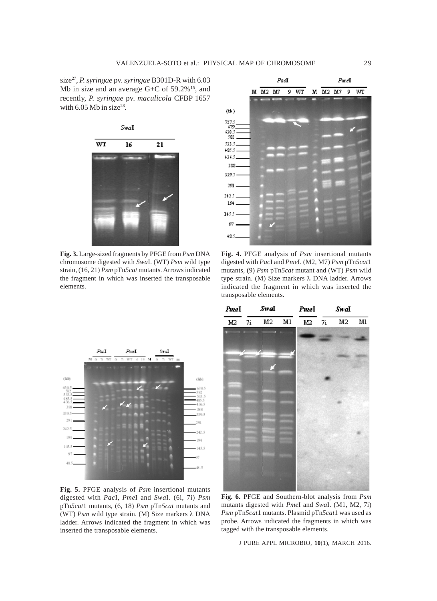size27, *P. syringae* pv. *syringae* B301D-R with 6.03 Mb in size and an average G+C of 59.2%<sup>15</sup>, and recently, *P. syringae* pv. *maculicola* CFBP 1657 with  $6.05$  Mb in size<sup>28</sup>.



**Fig. 3.** Large-sized fragments by PFGE from *Psm* DNA chromosome digested with *Swa*I. (WT) *Psm* wild type strain, (16, 21) *Psm* pTn*5cat* mutants. Arrows indicated the fragment in which was inserted the transposable elements.



**Fig. 4.** PFGE analysis of *Psm* insertional mutants digested with *Pac*I and *Pme*I. (M2, M7) *Psm* pTn*5cat*1 mutants, (9) *Psm* pTn*5cat* mutant and (WT) *Psm* wild type strain. (M) Size markers λ DNA ladder. Arrows indicated the fragment in which was inserted the transposable elements.



**Fig. 5.** PFGE analysis of *Psm* insertional mutants digested with *Pac*I, *Pme*I and *Swa*I. (6i, 7i) *Psm* pTn*5cat*1 mutants, (6, 18) *Psm* pTn*5cat* mutants and (WT) *Psm* wild type strain. (M) Size markers λ DNA ladder. Arrows indicated the fragment in which was inserted the transposable elements.



**Fig. 6.** PFGE and Southern-blot analysis from *Psm* mutants digested with *Pme*I and *Swa*I. (M1, M2, 7i) *Psm* pTn*5cat*1 mutants. Plasmid pTn*5cat*1 was used as probe. Arrows indicated the fragments in which was tagged with the transposable elements.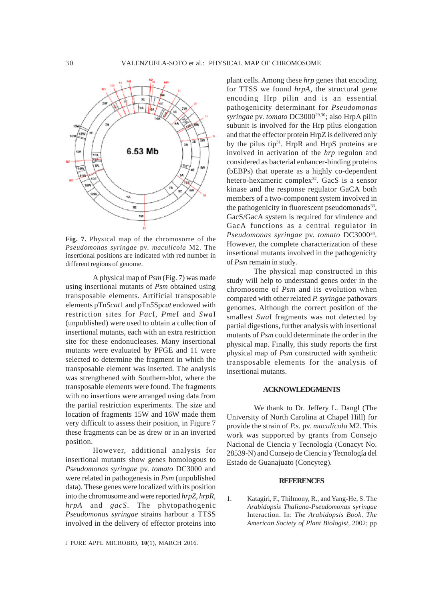

**Fig. 7.** Physical map of the chromosome of the *Pseudomonas syringae* pv. *maculicola* M2. The insertional positions are indicated with red number in different regions of genome.

A physical map of *Psm* (Fig. 7) was made using insertional mutants of *Psm* obtained using transposable elements. Artificial transposable elements pTn*5cat*1 and pTn*5*Sp*cat* endowed with restriction sites for *Pac*I, *Pme*I and *Swa*I (unpublished) were used to obtain a collection of insertional mutants, each with an extra restriction site for these endonucleases. Many insertional mutants were evaluated by PFGE and 11 were selected to determine the fragment in which the transposable element was inserted. The analysis was strengthened with Southern-blot, where the transposable elements were found. The fragments with no insertions were arranged using data from the partial restriction experiments. The size and location of fragments 15W and 16W made them very difficult to assess their position, in Figure 7 these fragments can be as drew or in an inverted position.

However, additional analysis for insertional mutants show genes homologous to *Pseudomonas syringae* pv. *tomato* DC3000 and were related in pathogenesis in *Psm* (unpublished data). These genes were localized with its position into the chromosome and were reported *hrpZ, hrpR, hrpA* and *gacS*. The phytopathogenic *Pseudomonas syringae* strains harbour a TTSS involved in the delivery of effector proteins into

J PURE APPL MICROBIO*,* **10**(1), MARCH 2016.

plant cells. Among these *hrp* genes that encoding for TTSS we found *hrpA*, the structural gene encoding Hrp pilin and is an essential pathogenicity determinant for *Pseudomonas syringae* pv. *tomato* DC300029,30; also HrpA pilin subunit is involved for the Hrp pilus elongation and that the effector protein HrpZ is delivered only by the pilus tip<sup>31</sup>. HrpR and HrpS proteins are involved in activation of the *hrp* regulon and considered as bacterial enhancer-binding proteins (bEBPs) that operate as a highly co-dependent hetero-hexameric complex<sup>32</sup>. GacS is a sensor kinase and the response regulator GaCA both members of a two-component system involved in the pathogenicity in fluorescent pseudomonads $33$ , GacS/GacA system is required for virulence and GacA functions as a central regulator in *Pseudomonas syringae* pv. *tomato* DC300034. However, the complete characterization of these insertional mutants involved in the pathogenicity of *Psm* remain in study.

The physical map constructed in this study will help to understand genes order in the chromosome of *Psm* and its evolution when compared with other related *P. syringae* pathovars genomes. Although the correct position of the smallest *Swa*I fragments was not detected by partial digestions, further analysis with insertional mutants of *Psm* could determinate the order in the physical map. Finally, this study reports the first physical map of *Psm* constructed with synthetic transposable elements for the analysis of insertional mutants.

#### **ACKNOWLEDGMENTS**

We thank to Dr. Jeffery L. Dangl (The University of North Carolina at Chapel Hill) for provide the strain of *P.s.* pv. *maculicola* M2. This work was supported by grants from Consejo Nacional de Ciencia y Tecnología (Conacyt No. 28539-N) and Consejo de Ciencia y Tecnología del Estado de Guanajuato (Concyteg).

#### **REFERENCES**

1. Katagiri, F., Thilmony, R., and Yang-He, S. The *Arabidopsis Thaliana-Pseudomonas syringae* Interaction. In: *The Arabidopsis Book*. *The American Society of Plant Biologist*, 2002; pp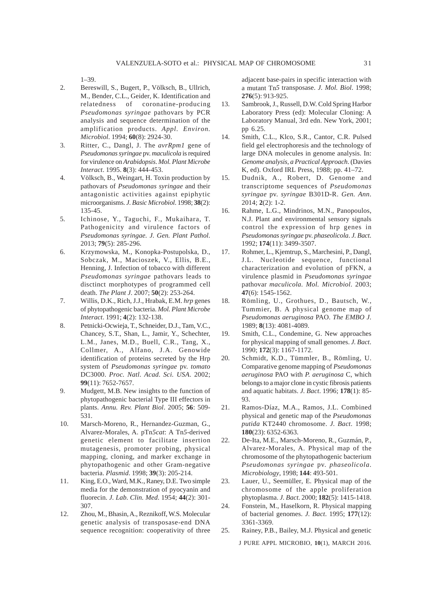1–39.

- 2. Bereswill, S., Bugert, P., Völksch, B., Ullrich, M., Bender, C.L., Geider, K. Identification and relatedness of coronatine-producing *Pseudomonas syringae* pathovars by PCR analysis and sequence determination of the amplification products. *Appl. Environ. Microbiol*. 1994; **60**(8): 2924-30.
- 3. Ritter, C., Dangl, J. The *avrRpm1* gene of *Pseudomonas syringae* pv. *maculicola* is required for virulence on *Arabidopsis*. *Mol. Plant Microbe Interact*. 1995. **8**(3): 444-453.
- 4. Völksch, B., Weingart, H. Toxin production by pathovars of *Pseudomonas syringae* and their antagonistic activities against epiphytic microorganisms. *J. Basic Microbiol*. 1998; **38**(2): 135-45.
- 5. Ichinose, Y., Taguchi, F., Mukaihara, T. Pathogenicity and virulence factors of *Pseudomonas syringae. J. Gen. Plant Pathol*. 2013; **79**(5): 285-296.
- 6. Krzymowska, M., Konopka-Postupolska, D., Sobczak, M., Macioszek, V., Ellis, B.E., Henning, J. Infection of tobacco with different *Pseudomonas syringae* pathovars leads to disctinct morphotypes of programmed cell death. *The Plant J*. 2007; **50**(2): 253-264.
- 7. Willis, D.K., Rich, J.J., Hrabak, E.M. *hrp* genes of phytopathogenic bacteria. *Mol. Plant Microbe Interact*. 1991; **4**(2): 132-138.
- 8. Petnicki-Ocwieja, T., Schneider, D.J., Tam, V.C., Chancey, S.T., Shan, L., Jamir, Y., Schechter, L.M., Janes, M.D., Buell, C.R., Tang, X., Collmer, A., Alfano, J.A. Genowide identification of proteins secreted by the Hrp system of *Pseudomonas syringae* pv. *tomato* DC3000. *Proc. Natl. Acad. Sci. USA*. 2002; **99**(11): 7652-7657.
- 9. Mudgett, M.B. New insights to the function of phytopathogenic bacterial Type III effectors in plants. *Annu. Rev. Plant Biol*. 2005; **56**: 509- 531.
- 10. Marsch-Moreno, R., Hernandez-Guzman, G., Alvarez-Morales, A. pTn*5cat*: A Tn*5*-derived genetic element to facilitate insertion mutagenesis, promoter probing, physical mapping, cloning, and marker exchange in phytopathogenic and other Gram-negative bacteria. *Plasmid*. 1998; **39**(3): 205-214.
- 11. King, E.O., Ward, M.K., Raney, D.E. Two simple media for the demonstration of pyocyanin and fluorecin. *J. Lab. Clin. Med*. 1954; **44**(2): 301- 307.
- 12. Zhou, M., Bhasin, A., Reznikoff, W.S. Molecular genetic analysis of transposase-end DNA sequence recognition: cooperativity of three

adjacent base-pairs in specific interaction with a mutant Tn*5* transposase. *J. Mol. Biol*. 1998; **276**(5): 913-925.

- 13. Sambrook, J., Russell, D.W. Cold Spring Harbor Laboratory Press (ed): Molecular Cloning: A Laboratory Manual, 3rd edn. New York, 2001; pp 6.25.
- 14. Smith, C.L., Klco, S.R., Cantor, C.R. Pulsed field gel electrophoresis and the technology of large DNA molecules in genome analysis. In: *Genome analysis, a Practical Approach*. (Davies K, ed). Oxford IRL Press, 1988; pp. 41–72.
- 15. Dudnik, A., Robert, D. Genome and transcriptome sequences of *Pseudomonas syringae* pv. *syringae* B301D-R. *Gen. Ann*. 2014; **2**(2): 1-2.
- 16. Rahme, L.G., Mindrinos, M.N., Panopoulos, N.J. Plant and environmental sensory signals control the expression of hrp genes in *Pseudomonas syringae* pv. *phaseolicola*. *J. Bact*. 1992; **174**(11): 3499-3507.
- 17. Rohmer, L., Kjemtrup, S., Marchesini, P., Dangl, J.L. Nucleotide sequence, functional characterization and evolution of pFKN, a virulence plasmid in *Pseudomonas syringae* pathovar *maculicola. Mol. Microbiol*. 2003; **47**(6): 1545-1562.
- 18. Römling, U., Grothues, D., Bautsch, W., Tummier, B. A physical genome map of *Pseudomonas aeruginosa* PAO. *The EMBO J*. 1989; **8**(13): 4081-4089.
- 19. Smith, C.L., Condemine, G. New approaches for physical mapping of small genomes. *J. Bact*. 1990; **172**(3): 1167-1172.
- 20. Schmidt, K.D., Tümmler, B., Römling, U. Comparative genome mapping of *Pseudomonas aeruginosa* PAO with *P. aeruginosa* C, which belongs to a major clone in cystic fibrosis patients and aquatic habitats. *J. Bact*. 1996; **178**(1): 85- 93.
- 21. Ramos-Díaz, M.A., Ramos, J.L. Combined physical and genetic map of the *Pseudomonas putida* KT2440 chromosome. *J. Bact*. 1998; **180**(23): 6352-6363.
- 22. De-Ita, M.E., Marsch-Moreno, R., Guzmán, P., Alvarez-Morales, A. Physical map of the chromosome of the phytopathogenic bacterium *Pseudomonas syringae* pv. *phaseolicola*. *Microbiology*, 1998; **144**: 493-501.
- 23. Lauer, U., Seemüller, E. Physical map of the chromosome of the apple proliferation phytoplasma. *J. Bact*. 2000; **182**(5): 1415-1418.
- 24. Fonstein, M., Haselkorn, R. Physical mapping of bacterial genomes. *J. Bact*. 1995; **177**(12): 3361-3369.
- 25. Rainey, P.B., Bailey, M.J. Physical and genetic